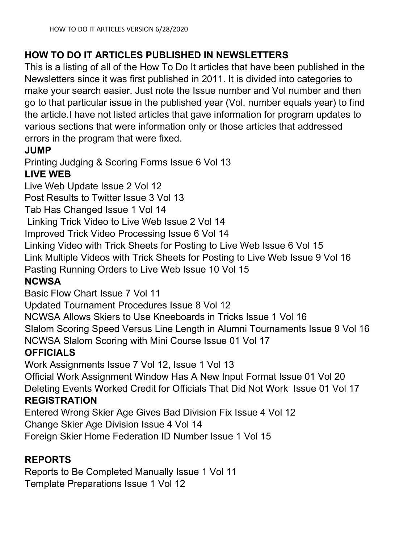# HOW TO DO IT ARTICLES PUBLISHED IN NEWSLETTERS

This is a listing of all of the How To Do It articles that have been published in the Newsletters since it was first published in 2011. It is divided into categories to make your search easier. Just note the Issue number and Vol number and then go to that particular issue in the published year (Vol. number equals year) to find the article.I have not listed articles that gave information for program updates to various sections that were information only or those articles that addressed errors in the program that were fixed.

#### JUMP

Printing Judging & Scoring Forms Issue 6 Vol 13

### LIVE WEB

Live Web Update Issue 2 Vol 12

Post Results to Twitter Issue 3 Vol 13

Tab Has Changed Issue 1 Vol 14

Linking Trick Video to Live Web Issue 2 Vol 14

Improved Trick Video Processing Issue 6 Vol 14

Linking Video with Trick Sheets for Posting to Live Web Issue 6 Vol 15

Link Multiple Videos with Trick Sheets for Posting to Live Web Issue 9 Vol 16

Pasting Running Orders to Live Web Issue 10 Vol 15

# **NCWSA**

Basic Flow Chart Issue 7 Vol 11

Updated Tournament Procedures Issue 8 Vol 12

NCWSA Allows Skiers to Use Kneeboards in Tricks Issue 1 Vol 16

Slalom Scoring Speed Versus Line Length in Alumni Tournaments Issue 9 Vol 16 NCWSA Slalom Scoring with Mini Course Issue 01 Vol 17

#### **OFFICIALS**

Work Assignments Issue 7 Vol 12, Issue 1 Vol 13

Official Work Assignment Window Has A New Input Format Issue 01 Vol 20 Deleting Events Worked Credit for Officials That Did Not Work Issue 01 Vol 17

#### REGISTRATION

Entered Wrong Skier Age Gives Bad Division Fix Issue 4 Vol 12

Change Skier Age Division Issue 4 Vol 14

Foreign Skier Home Federation ID Number Issue 1 Vol 15

# REPORTS

Reports to Be Completed Manually Issue 1 Vol 11 Template Preparations Issue 1 Vol 12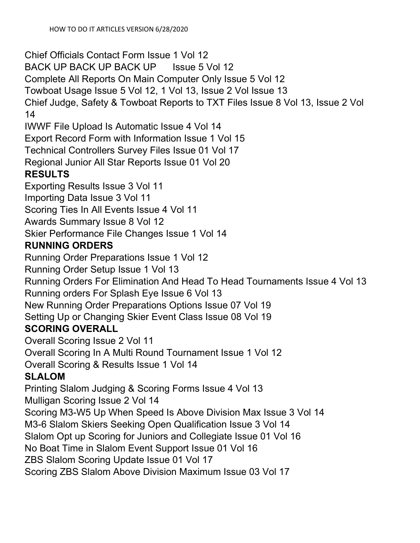Chief Officials Contact Form Issue 1 Vol 12 BACK UP BACK UP BACK UP Issue 5 Vol 12 Complete All Reports On Main Computer Only Issue 5 Vol 12 Towboat Usage Issue 5 Vol 12, 1 Vol 13, Issue 2 Vol Issue 13 Chief Judge, Safety & Towboat Reports to TXT Files Issue 8 Vol 13, Issue 2 Vol 14 IWWF File Upload Is Automatic Issue 4 Vol 14 Export Record Form with Information Issue 1 Vol 15 Technical Controllers Survey Files Issue 01 Vol 17 Regional Junior All Star Reports Issue 01 Vol 20 RESULTS Exporting Results Issue 3 Vol 11 Importing Data Issue 3 Vol 11 Scoring Ties In All Events Issue 4 Vol 11 Awards Summary Issue 8 Vol 12 Skier Performance File Changes Issue 1 Vol 14 RUNNING ORDERS Running Order Preparations Issue 1 Vol 12 Running Order Setup Issue 1 Vol 13 Running Orders For Elimination And Head To Head Tournaments Issue 4 Vol 13 Running orders For Splash Eye Issue 6 Vol 13 New Running Order Preparations Options Issue 07 Vol 19 Setting Up or Changing Skier Event Class Issue 08 Vol 19 SCORING OVERALL Overall Scoring Issue 2 Vol 11 Overall Scoring In A Multi Round Tournament Issue 1 Vol 12 Overall Scoring & Results Issue 1 Vol 14 SLALOM Printing Slalom Judging & Scoring Forms Issue 4 Vol 13 Mulligan Scoring Issue 2 Vol 14 Scoring M3-W5 Up When Speed Is Above Division Max Issue 3 Vol 14 M3-6 Slalom Skiers Seeking Open Qualification Issue 3 Vol 14 Slalom Opt up Scoring for Juniors and Collegiate Issue 01 Vol 16 No Boat Time in Slalom Event Support Issue 01 Vol 16 ZBS Slalom Scoring Update Issue 01 Vol 17 Scoring ZBS Slalom Above Division Maximum Issue 03 Vol 17